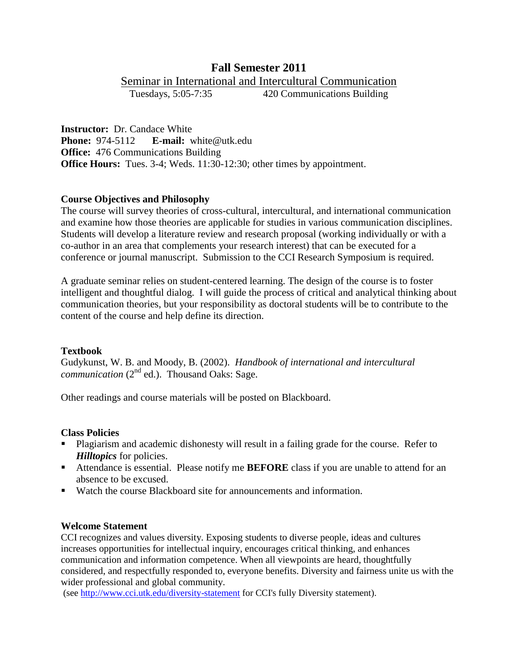# **Fall Semester 2011**

Seminar in International and Intercultural Communication<br>Tuesdays, 5:05-7:35 420 Communications Building

420 Communications Building

**Instructor:** Dr. Candace White **Phone:** 974-5112 **E-mail:** white@utk.edu **Office:** 476 Communications Building **Office Hours:** Tues. 3-4; Weds. 11:30-12:30; other times by appointment.

# **Course Objectives and Philosophy**

The course will survey theories of cross-cultural, intercultural, and international communication and examine how those theories are applicable for studies in various communication disciplines. Students will develop a literature review and research proposal (working individually or with a co-author in an area that complements your research interest) that can be executed for a conference or journal manuscript. Submission to the CCI Research Symposium is required.

A graduate seminar relies on student-centered learning. The design of the course is to foster intelligent and thoughtful dialog. I will guide the process of critical and analytical thinking about communication theories, but your responsibility as doctoral students will be to contribute to the content of the course and help define its direction.

### **Textbook**

Gudykunst, W. B. and Moody, B. (2002). *Handbook of international and intercultural*  communication (2<sup>nd</sup> ed.). Thousand Oaks: Sage.

Other readings and course materials will be posted on Blackboard.

### **Class Policies**

- Plagiarism and academic dishonesty will result in a failing grade for the course. Refer to *Hilltopics* for policies.
- Attendance is essential. Please notify me **BEFORE** class if you are unable to attend for an absence to be excused.
- Watch the course Blackboard site for announcements and information.

### **Welcome Statement**

CCI recognizes and values diversity. Exposing students to diverse people, ideas and cultures increases opportunities for intellectual inquiry, encourages critical thinking, and enhances communication and information competence. When all viewpoints are heard, thoughtfully considered, and respectfully responded to, everyone benefits. Diversity and fairness unite us with the wider professional and global community.

(see<http://www.cci.utk.edu/diversity-statement> for CCI's fully Diversity statement).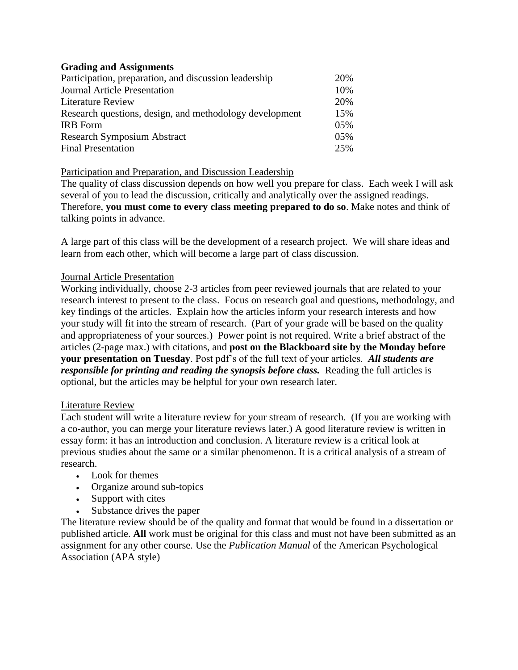# **Grading and Assignments**

| Participation, preparation, and discussion leadership   | 20% |
|---------------------------------------------------------|-----|
| <b>Journal Article Presentation</b>                     | 10% |
| <b>Literature Review</b>                                | 20% |
| Research questions, design, and methodology development |     |
| <b>IRB</b> Form                                         | 05% |
| <b>Research Symposium Abstract</b>                      |     |
| <b>Final Presentation</b>                               | 25% |

# Participation and Preparation, and Discussion Leadership

The quality of class discussion depends on how well you prepare for class. Each week I will ask several of you to lead the discussion, critically and analytically over the assigned readings. Therefore, **you must come to every class meeting prepared to do so**. Make notes and think of talking points in advance.

A large part of this class will be the development of a research project. We will share ideas and learn from each other, which will become a large part of class discussion.

# Journal Article Presentation

Working individually, choose 2-3 articles from peer reviewed journals that are related to your research interest to present to the class. Focus on research goal and questions, methodology, and key findings of the articles. Explain how the articles inform your research interests and how your study will fit into the stream of research. (Part of your grade will be based on the quality and appropriateness of your sources.) Power point is not required. Write a brief abstract of the articles (2-page max.) with citations, and **post on the Blackboard site by the Monday before your presentation on Tuesday**. Post pdf's of the full text of your articles. *All students are responsible for printing and reading the synopsis before class.* Reading the full articles is optional, but the articles may be helpful for your own research later.

### Literature Review

Each student will write a literature review for your stream of research. (If you are working with a co-author, you can merge your literature reviews later.) A good literature review is written in essay form: it has an introduction and conclusion. A literature review is a critical look at previous studies about the same or a similar phenomenon. It is a critical analysis of a stream of research.

- Look for themes
- Organize around sub-topics
- Support with cites
- Substance drives the paper

The literature review should be of the quality and format that would be found in a dissertation or published article. **All** work must be original for this class and must not have been submitted as an assignment for any other course. Use the *Publication Manual* of the American Psychological Association (APA style)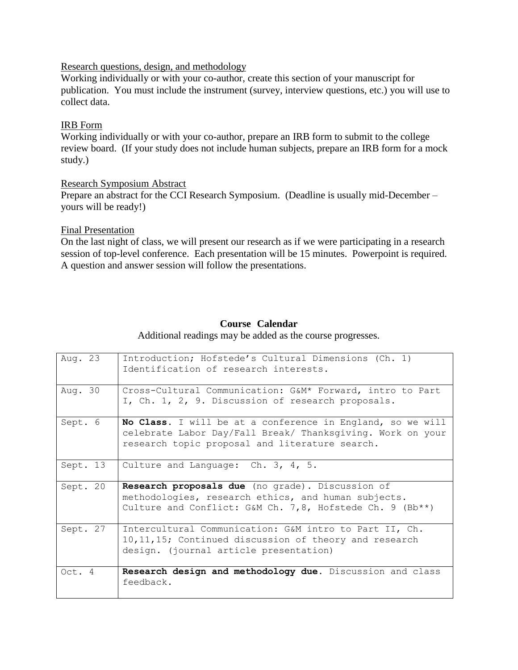#### Research questions, design, and methodology

Working individually or with your co-author, create this section of your manuscript for publication. You must include the instrument (survey, interview questions, etc.) you will use to collect data.

# IRB Form

Working individually or with your co-author, prepare an IRB form to submit to the college review board. (If your study does not include human subjects, prepare an IRB form for a mock study.)

Research Symposium Abstract Prepare an abstract for the CCI Research Symposium. (Deadline is usually mid-December – yours will be ready!)

### Final Presentation

On the last night of class, we will present our research as if we were participating in a research session of top-level conference. Each presentation will be 15 minutes. Powerpoint is required. A question and answer session will follow the presentations.

# **Course Calendar**

Additional readings may be added as the course progresses.

| Aug. 23  | Introduction; Hofstede's Cultural Dimensions (Ch. 1)<br>Identification of research interests.                                                                              |
|----------|----------------------------------------------------------------------------------------------------------------------------------------------------------------------------|
| Aug. 30  | Cross-Cultural Communication: G&M* Forward, intro to Part<br>I, Ch. 1, 2, 9. Discussion of research proposals.                                                             |
| Sept. 6  | No Class. I will be at a conference in England, so we will<br>celebrate Labor Day/Fall Break/ Thanksgiving. Work on your<br>research topic proposal and literature search. |
| Sept. 13 | Culture and Language: Ch. 3, 4, 5.                                                                                                                                         |
| Sept. 20 | Research proposals due (no grade). Discussion of<br>methodologies, research ethics, and human subjects.<br>Culture and Conflict: G&M Ch. 7,8, Hofstede Ch. 9 (Bb**)        |
| Sept. 27 | Intercultural Communication: G&M intro to Part II, Ch.<br>10, 11, 15; Continued discussion of theory and research<br>design. (journal article presentation)                |
| Oct. $4$ | Research design and methodology due. Discussion and class<br>feedback.                                                                                                     |